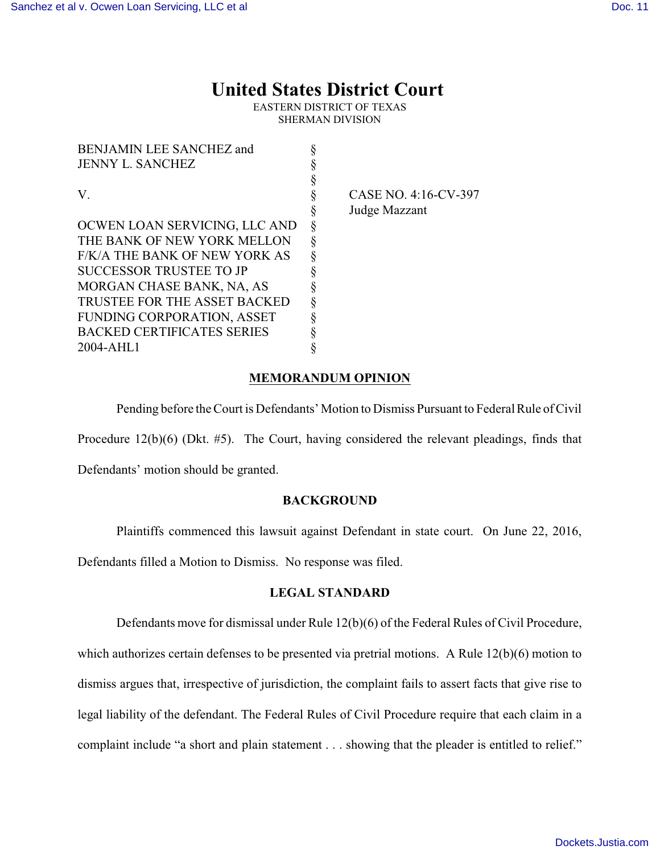# **United States District Court**

EASTERN DISTRICT OF TEXAS SHERMAN DIVISION

| <b>BENJAMIN LEE SANCHEZ and</b>   |   |
|-----------------------------------|---|
| JENNY L. SANCHEZ                  | ş |
|                                   | § |
| V                                 | § |
|                                   | ş |
| OCWEN LOAN SERVICING, LLC AND     | § |
| THE BANK OF NEW YORK MELLON       | § |
| F/K/A THE BANK OF NEW YORK AS     | ş |
| SUCCESSOR TRUSTEE TO JP           | ş |
| MORGAN CHASE BANK, NA, AS         | § |
| TRUSTEE FOR THE ASSET BACKED      | § |
| <b>FUNDING CORPORATION, ASSET</b> | ş |
| <b>BACKED CERTIFICATES SERIES</b> | § |
| 2004-AHL1                         | 8 |

CASE NO. 4:16-CV-397 Judge Mazzant

# **MEMORANDUM OPINION**

Pending before the Court is Defendants' Motion to Dismiss Pursuant to Federal Rule of Civil

Procedure 12(b)(6) (Dkt. #5). The Court, having considered the relevant pleadings, finds that

Defendants' motion should be granted.

### **BACKGROUND**

Plaintiffs commenced this lawsuit against Defendant in state court. On June 22, 2016,

Defendants filled a Motion to Dismiss. No response was filed.

### **LEGAL STANDARD**

Defendants move for dismissal under Rule 12(b)(6) of the Federal Rules of Civil Procedure, which authorizes certain defenses to be presented via pretrial motions. A Rule 12(b)(6) motion to dismiss argues that, irrespective of jurisdiction, the complaint fails to assert facts that give rise to legal liability of the defendant. The Federal Rules of Civil Procedure require that each claim in a complaint include "a short and plain statement . . . showing that the pleader is entitled to relief."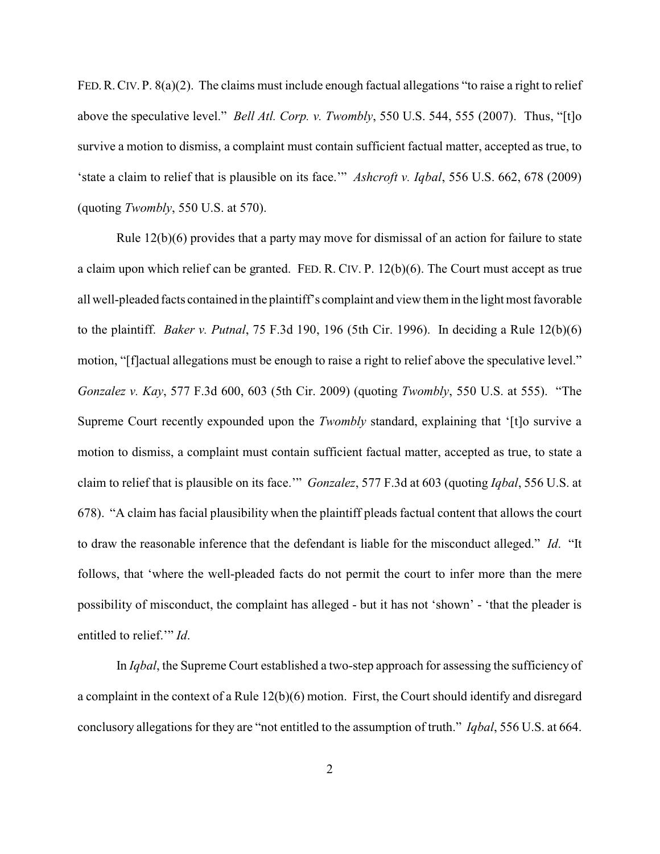FED.R.CIV. P. 8(a)(2). The claims must include enough factual allegations "to raise a right to relief above the speculative level." *Bell Atl. Corp. v. Twombly*, 550 U.S. 544, 555 (2007). Thus, "[t]o survive a motion to dismiss, a complaint must contain sufficient factual matter, accepted as true, to 'state a claim to relief that is plausible on its face.'" *Ashcroft v. Iqbal*, 556 U.S. 662, 678 (2009) (quoting *Twombly*, 550 U.S. at 570).

Rule  $12(b)(6)$  provides that a party may move for dismissal of an action for failure to state a claim upon which relief can be granted. FED. R. CIV. P. 12(b)(6). The Court must accept as true all well-pleaded facts contained in the plaintiff's complaint and view them in the light most favorable to the plaintiff. *Baker v. Putnal*, 75 F.3d 190, 196 (5th Cir. 1996). In deciding a Rule 12(b)(6) motion, "[f]actual allegations must be enough to raise a right to relief above the speculative level." *Gonzalez v. Kay*, 577 F.3d 600, 603 (5th Cir. 2009) (quoting *Twombly*, 550 U.S. at 555). "The Supreme Court recently expounded upon the *Twombly* standard, explaining that '[t]o survive a motion to dismiss, a complaint must contain sufficient factual matter, accepted as true, to state a claim to relief that is plausible on its face.'" *Gonzalez*, 577 F.3d at 603 (quoting *Iqbal*, 556 U.S. at 678). "A claim has facial plausibility when the plaintiff pleads factual content that allows the court to draw the reasonable inference that the defendant is liable for the misconduct alleged." *Id*. "It follows, that 'where the well-pleaded facts do not permit the court to infer more than the mere possibility of misconduct, the complaint has alleged - but it has not 'shown' - 'that the pleader is entitled to relief.'" *Id*.

In *Iqbal*, the Supreme Court established a two-step approach for assessing the sufficiency of a complaint in the context of a Rule 12(b)(6) motion. First, the Court should identify and disregard conclusory allegations for they are "not entitled to the assumption of truth." *Iqbal*, 556 U.S. at 664.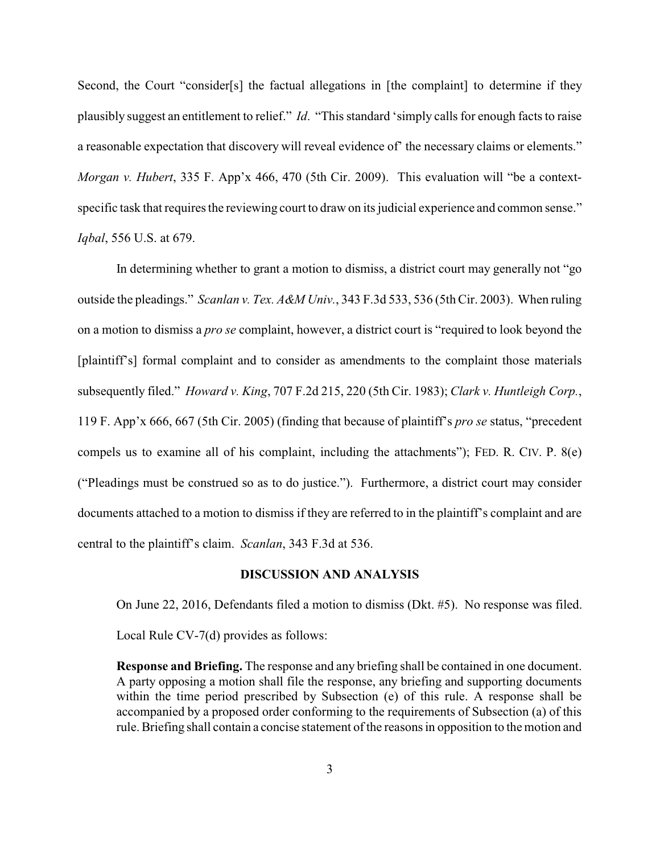Second, the Court "consider[s] the factual allegations in [the complaint] to determine if they plausibly suggest an entitlement to relief." *Id*. "This standard 'simply calls for enough facts to raise a reasonable expectation that discovery will reveal evidence of' the necessary claims or elements." *Morgan v. Hubert*, 335 F. App'x 466, 470 (5th Cir. 2009). This evaluation will "be a contextspecific task that requires the reviewing court to draw on its judicial experience and common sense." *Iqbal*, 556 U.S. at 679.

In determining whether to grant a motion to dismiss, a district court may generally not "go outside the pleadings." *Scanlan v. Tex. A&M Univ.*, 343 F.3d 533, 536 (5th Cir. 2003). When ruling on a motion to dismiss a *pro se* complaint, however, a district court is "required to look beyond the [plaintiff's] formal complaint and to consider as amendments to the complaint those materials subsequently filed." *Howard v. King*, 707 F.2d 215, 220 (5th Cir. 1983); *Clark v. Huntleigh Corp.*, 119 F. App'x 666, 667 (5th Cir. 2005) (finding that because of plaintiff's *pro se* status, "precedent compels us to examine all of his complaint, including the attachments"); FED. R. CIV. P. 8(e) ("Pleadings must be construed so as to do justice."). Furthermore, a district court may consider documents attached to a motion to dismiss if they are referred to in the plaintiff's complaint and are central to the plaintiff's claim. *Scanlan*, 343 F.3d at 536.

#### **DISCUSSION AND ANALYSIS**

On June 22, 2016, Defendants filed a motion to dismiss (Dkt. #5). No response was filed. Local Rule CV-7(d) provides as follows:

**Response and Briefing.** The response and any briefing shall be contained in one document. A party opposing a motion shall file the response, any briefing and supporting documents within the time period prescribed by Subsection (e) of this rule. A response shall be accompanied by a proposed order conforming to the requirements of Subsection (a) of this rule. Briefing shall contain a concise statement of the reasons in opposition to the motion and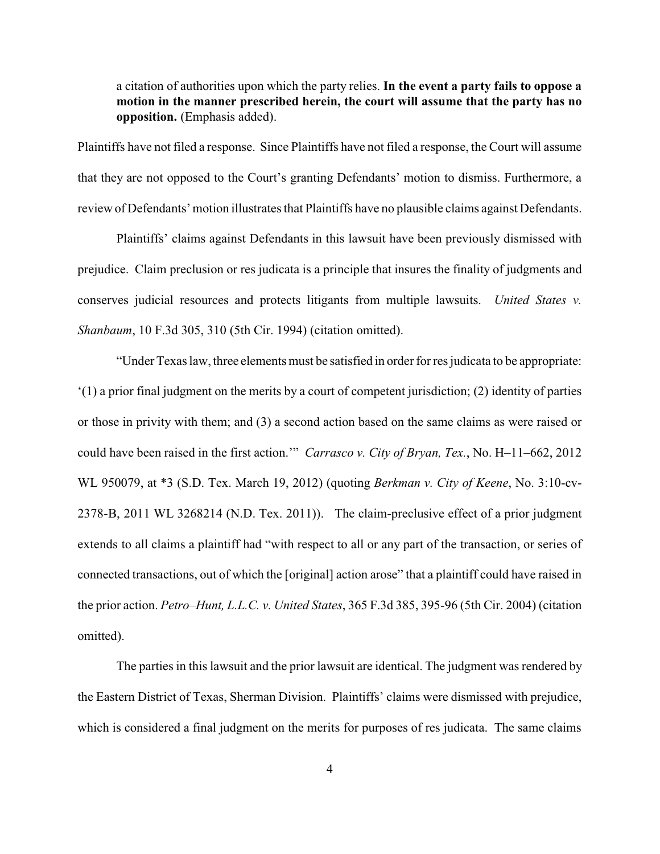# a citation of authorities upon which the party relies. **In the event a party fails to oppose a motion in the manner prescribed herein, the court will assume that the party has no opposition.** (Emphasis added).

Plaintiffs have not filed a response. Since Plaintiffs have not filed a response, the Court will assume that they are not opposed to the Court's granting Defendants' motion to dismiss. Furthermore, a review of Defendants' motion illustrates that Plaintiffs have no plausible claims against Defendants.

Plaintiffs' claims against Defendants in this lawsuit have been previously dismissed with prejudice. Claim preclusion or res judicata is a principle that insures the finality of judgments and conserves judicial resources and protects litigants from multiple lawsuits. *United States v. Shanbaum*, 10 F.3d 305, 310 (5th Cir. 1994) (citation omitted).

"Under Texas law, three elements must be satisfied in order for res judicata to be appropriate: '(1) a prior final judgment on the merits by a court of competent jurisdiction; (2) identity of parties or those in privity with them; and (3) a second action based on the same claims as were raised or could have been raised in the first action.'" *Carrasco v. City of Bryan, Tex.*, No. H–11–662, 2012 WL 950079, at \*3 (S.D. Tex. March 19, 2012) (quoting *Berkman v. City of Keene*, No. 3:10-cv-2378-B, 2011 WL 3268214 (N.D. Tex. 2011)). The claim-preclusive effect of a prior judgment extends to all claims a plaintiff had "with respect to all or any part of the transaction, or series of connected transactions, out of which the [original] action arose" that a plaintiff could have raised in the prior action. *Petro–Hunt, L.L.C. v. United States*, 365 F.3d 385, 395-96 (5th Cir. 2004) (citation omitted).

The parties in this lawsuit and the prior lawsuit are identical. The judgment was rendered by the Eastern District of Texas, Sherman Division. Plaintiffs' claims were dismissed with prejudice, which is considered a final judgment on the merits for purposes of res judicata. The same claims